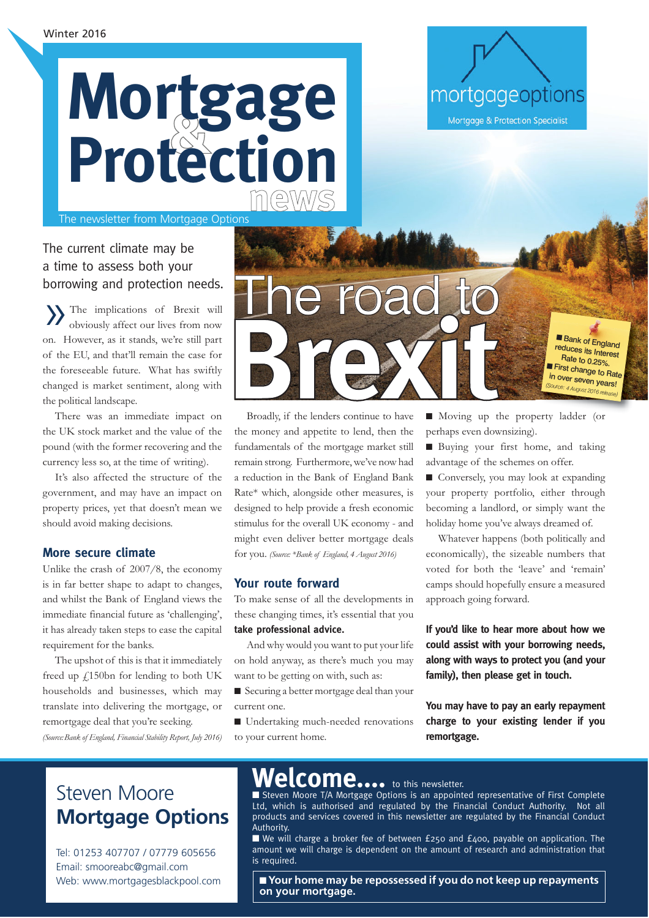

The newsletter from Mortgage Options

### The current climate may be a time to assess both your borrowing and protection needs.

»The implications of Brexit will obviously affect our lives from now on. However, as it stands, we're still part of the EU, and that'll remain the case for the foreseeable future. What has swiftly changed is market sentiment, along with the political landscape.

There was an immediate impact on the UK stock market and the value of the pound (with the former recovering and the currency less so, at the time of writing).

It's also affected the structure of the government, and may have an impact on property prices, yet that doesn't mean we should avoid making decisions.

### **More secure climate**

Unlike the crash of 2007/8, the economy is in far better shape to adapt to changes, and whilst the Bank of England views the immediate financial future as 'challenging', it has already taken steps to ease the capital requirement for the banks.

The upshot of this is that it immediately freed up £150bn for lending to both UK households and businesses, which may translate into delivering the mortgage, or remortgage deal that you're seeking. *(Source:Bank of England, Financial Stability Report, July 2016)*

## e road to Broadly, if the lenders continue to have ■ Bank of England reduces its Interest Rate to 0.25%. First change to Rate in over seven years! *(Source: 4 August 2016 release)*

Broadly, if the lenders continue to have the money and appetite to lend, then the fundamentals of the mortgage market still remain strong. Furthermore, we've now had a reduction in the Bank of England Bank Rate\* which, alongside other measures, is designed to help provide a fresh economic stimulus for the overall UK economy - and might even deliver better mortgage deals for you. *(Source: \*Bank of England, 4 August 2016)*

### **Your route forward**

To make sense of all the developments in these changing times, it's essential that you **take professional advice.**

And why would you want to put your life on hold anyway, as there's much you may want to be getting on with, such as:

■ Securing a better mortgage deal than your current one.

■ Undertaking much-needed renovations to your current home.

■ Moving up the property ladder (or perhaps even downsizing).

mortgageoptions

**Mortgage & Protection Specialist** 

■ Buying your first home, and taking advantage of the schemes on offer.

■ Conversely, you may look at expanding your property portfolio, either through becoming a landlord, or simply want the holiday home you've always dreamed of.

Whatever happens (both politically and economically), the sizeable numbers that voted for both the 'leave' and 'remain' camps should hopefully ensure a measured approach going forward.

**If you'd like to hear more about how we could assist with your borrowing needs, along with ways to protect you (and your family), then please get in touch.**

**You may have to pay an early repayment charge to your existing lender if you remortgage.**

## **Welcome....** Steven Moore **Mortgage Options**

Tel: 01253 407707 / 07779 605656 Email: smooreabc@gmail.com Web: www.mortgagesblackpool.com

### to this newsletter.

■ Steven Moore T/A Mortgage Options is an appointed representative of First Complete Ltd, which is authorised and regulated by the Financial Conduct Authority. Not all products and services covered in this newsletter are regulated by the Financial Conduct Authority.

■ We will charge a broker fee of between £250 and £400, payable on application. The amount we will charge is dependent on the amount of research and administration that is required.

■ **Your home may be repossessed if you do not keep up repayments on your mortgage.**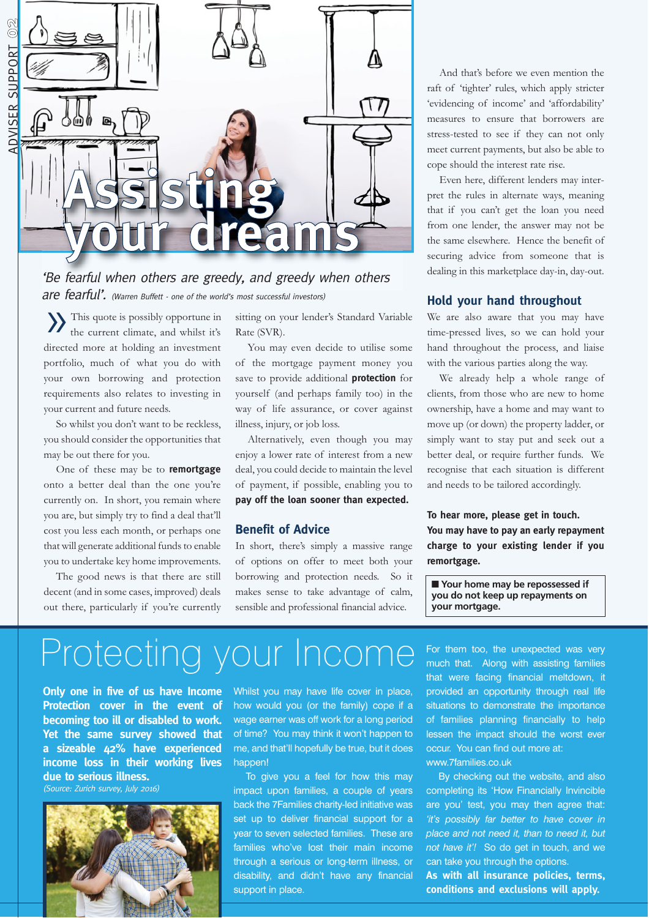

### 'Be fearful when others are greedy, and greedy when others are fearful'. (Warren Buffett - one of the world's most successful investors)

»This quote is possibly opportune in the current climate, and whilst it's directed more at holding an investment portfolio, much of what you do with your own borrowing and protection requirements also relates to investing in your current and future needs.

So whilst you don't want to be reckless, you should consider the opportunities that may be out there for you.

One of these may be to **remortgage** onto a better deal than the one you're currently on. In short, you remain where you are, but simply try to find a deal that'll cost you less each month, or perhaps one that will generate additional funds to enable you to undertake key home improvements.

The good news is that there are still decent (and in some cases, improved) deals out there, particularly if you're currently sitting on your lender's Standard Variable Rate (SVR).

You may even decide to utilise some of the mortgage payment money you save to provide additional **protection** for yourself (and perhaps family too) in the way of life assurance, or cover against illness, injury, or job loss.

Alternatively, even though you may enjoy a lower rate of interest from a new deal, you could decide to maintain the level of payment, if possible, enabling you to **pay off the loan sooner than expected.**

### **Benefit of Advice**

In short, there's simply a massive range of options on offer to meet both your borrowing and protection needs. So it makes sense to take advantage of calm, sensible and professional financial advice.

And that's before we even mention the raft of 'tighter' rules, which apply stricter 'evidencing of income' and 'affordability' measures to ensure that borrowers are stress-tested to see if they can not only meet current payments, but also be able to cope should the interest rate rise.

Even here, different lenders may interpret the rules in alternate ways, meaning that if you can't get the loan you need from one lender, the answer may not be the same elsewhere. Hence the benefit of securing advice from someone that is dealing in this marketplace day-in, day-out.

#### **Hold your hand throughout**

We are also aware that you may have time-pressed lives, so we can hold your hand throughout the process, and liaise with the various parties along the way.

We already help a whole range of clients, from those who are new to home ownership, have a home and may want to move up (or down) the property ladder, or simply want to stay put and seek out a better deal, or require further funds. We recognise that each situation is different and needs to be tailored accordingly.

**To hear more, please get in touch. You may have to pay an early repayment charge to your existing lender if you remortgage.**

■ **Your home may be repossessed if you do not keep up repayments on your mortgage.**

# Protecting your Income

**Only one in five of us have Income Protection cover in the event of becoming too ill or disabled to work. Yet the same survey showed that a sizeable 42% have experienced income loss in their working lives due to serious illness.**

(Source: Zurich survey, July 2016)



Whilst you may have life cover in place, how would you (or the family) cope if a wage earner was off work for a long period of time? You may think it won't happen to me, and that'll hopefully be true, but it does happen!

To give you a feel for how this may impact upon families, a couple of years back the 7Families charity-led initiative was set up to deliver financial support for a year to seven selected families. These are families who've lost their main income through a serious or long-term illness, or disability, and didn't have any financial support in place.

For them too, the unexpected was very much that. Along with assisting families that were facing financial meltdown, it provided an opportunity through real life situations to demonstrate the importance of families planning financially to help lessen the impact should the worst ever occur. You can find out more at: www.7families.co.uk

By checking out the website, and also completing its 'How Financially Invincible are you' test, you may then agree that: *'it's possibly far better to have cover in place and not need it, than to need it, but not have it'!* So do get in touch, and we can take you through the options.

**As with all insurance policies, terms, conditions and exclusions will apply.**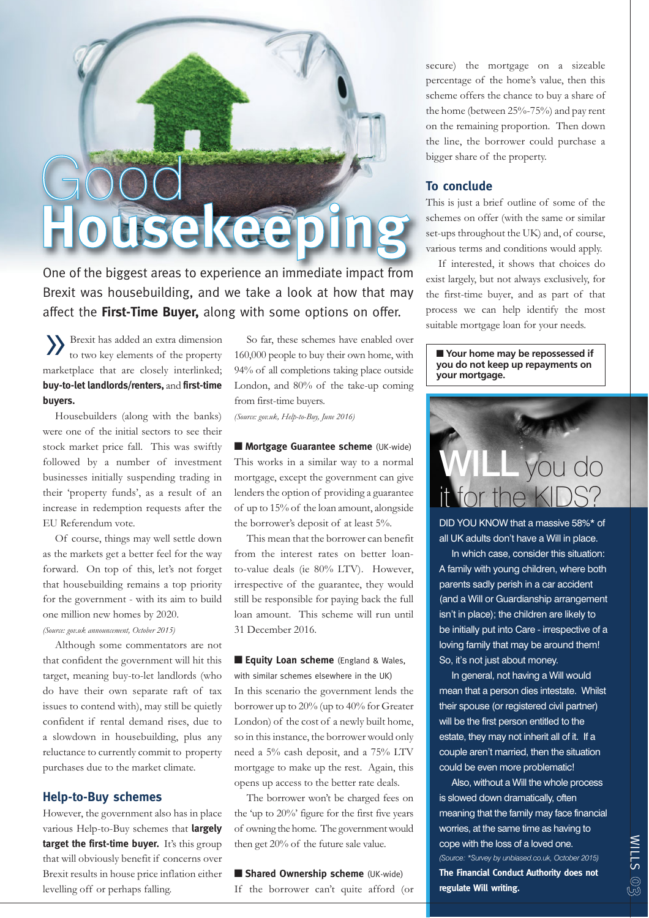# $JOC$ **Housekeeping**

One of the biggest areas to experience an immediate impact from Brexit was housebuilding, and we take a look at how that may affect the **First-Time Buyer,** along with some options on offer.

»Brexit has added an extra dimension to two key elements of the property marketplace that are closely interlinked; **buy-to-let landlords/renters,** and **first-time buyers.**

Housebuilders (along with the banks) were one of the initial sectors to see their stock market price fall. This was swiftly followed by a number of investment businesses initially suspending trading in their 'property funds', as a result of an increase in redemption requests after the EU Referendum vote.

Of course, things may well settle down as the markets get a better feel for the way forward. On top of this, let's not forget that housebuilding remains a top priority for the government - with its aim to build one million new homes by 2020.

*(Source: gov.uk announcement, October 2015)*

Although some commentators are not that confident the government will hit this target, meaning buy-to-let landlords (who do have their own separate raft of tax issues to contend with), may still be quietly confident if rental demand rises, due to a slowdown in housebuilding, plus any reluctance to currently commit to property purchases due to the market climate.

### **Help-to-Buy schemes**

However, the government also has in place various Help-to-Buy schemes that **largely** target the first-time buyer. It's this group that will obviously benefit if concerns over Brexit results in house price inflation either levelling off or perhaps falling.

So far, these schemes have enabled over 160,000 people to buy their own home, with 94% of all completions taking place outside London, and 80% of the take-up coming from first-time buyers.

*(Source: gov.uk, Help-to-Buy, June 2016)*

■ **Mortgage Guarantee scheme** (UK-wide) This works in a similar way to a normal mortgage, except the government can give lenders the option of providing a guarantee of up to 15% of the loan amount, alongside the borrower's deposit of at least 5%.

This mean that the borrower can benefit from the interest rates on better loanto-value deals (ie 80% LTV). However, irrespective of the guarantee, they would still be responsible for paying back the full loan amount. This scheme will run until 31 December 2016.

■ **Equity Loan scheme** (England & Wales, with similar schemes elsewhere in the UK) In this scenario the government lends the borrower up to 20% (up to 40% for Greater London) of the cost of a newly built home, so in this instance, the borrower would only need a 5% cash deposit, and a 75% LTV mortgage to make up the rest. Again, this opens up access to the better rate deals.

The borrower won't be charged fees on the 'up to 20%' figure for the first five years of owning the home. The government would then get 20% of the future sale value.

■ **Shared Ownership scheme** (UK-wide) If the borrower can't quite afford (or secure) the mortgage on a sizeable percentage of the home's value, then this scheme offers the chance to buy a share of the home (between 25%-75%) and pay rent on the remaining proportion. Then down the line, the borrower could purchase a bigger share of the property.

#### **To conclude**

This is just a brief outline of some of the schemes on offer (with the same or similar set-ups throughout the UK) and, of course, various terms and conditions would apply.

If interested, it shows that choices do exist largely, but not always exclusively, for the first-time buyer, and as part of that process we can help identify the most suitable mortgage loan for your needs.

■ **Your home may be repossessed if you do not keep up repayments on your mortgage.**



DID YOU KNOW that a massive 58%\* of all UK adults don't have a Will in place.

In which case, consider this situation: A family with young children, where both parents sadly perish in a car accident (and a Will or Guardianship arrangement isn't in place); the children are likely to be initially put into Care - irrespective of a loving family that may be around them! So, it's not just about money.

In general, not having a Will would mean that a person dies intestate. Whilst their spouse (or registered civil partner) will be the first person entitled to the estate, they may not inherit all of it. If a couple aren't married, then the situation could be even more problematic!

Also, without a Will the whole process is slowed down dramatically, often meaning that the family may face financial worries, at the same time as having to cope with the loss of a loved one. *(Source: \*Survey by unbiased.co.uk, October 2015)* **The Financial Conduct Authority does not regulate Will writing.**